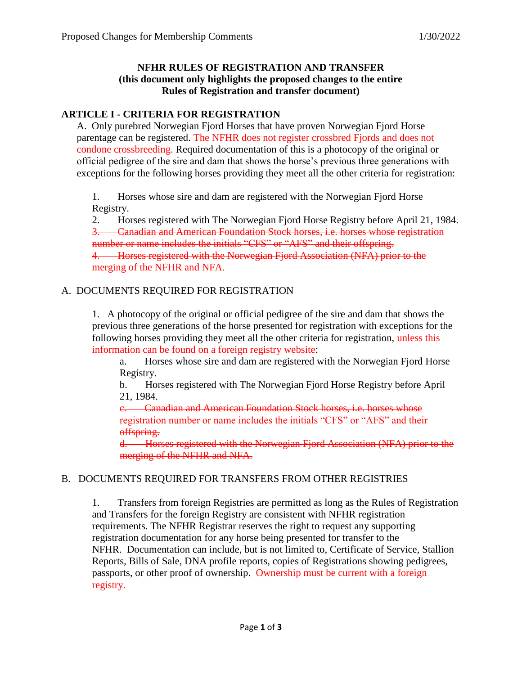### **NFHR RULES OF REGISTRATION AND TRANSFER (this document only highlights the proposed changes to the entire Rules of Registration and transfer document)**

# **ARTICLE I - CRITERIA FOR REGISTRATION**

A. Only purebred Norwegian Fjord Horses that have proven Norwegian Fjord Horse parentage can be registered. The NFHR does not register crossbred Fjords and does not condone crossbreeding. Required documentation of this is a photocopy of the original or official pedigree of the sire and dam that shows the horse's previous three generations with exceptions for the following horses providing they meet all the other criteria for registration:

1. Horses whose sire and dam are registered with the Norwegian Fjord Horse Registry.

2. Horses registered with The Norwegian Fjord Horse Registry before April 21, 1984.

3. Canadian and American Foundation Stock horses, i.e. horses whose registration number or name includes the initials "CFS" or "AFS" and their offspring.

4. Horses registered with the Norwegian Fjord Association (NFA) prior to the merging of the NFHR and NFA.

# A. DOCUMENTS REQUIRED FOR REGISTRATION

1. A photocopy of the original or official pedigree of the sire and dam that shows the previous three generations of the horse presented for registration with exceptions for the following horses providing they meet all the other criteria for registration, unless this information can be found on a foreign registry website:

a. Horses whose sire and dam are registered with the Norwegian Fjord Horse Registry.

b. Horses registered with The Norwegian Fjord Horse Registry before April 21, 1984.

c. Canadian and American Foundation Stock horses, i.e. horses whose registration number or name includes the initials "CFS" or "AFS" and their offspring.

d. Horses registered with the Norwegian Fjord Association (NFA) prior to the merging of the NFHR and NFA.

#### B. DOCUMENTS REQUIRED FOR TRANSFERS FROM OTHER REGISTRIES

1. Transfers from foreign Registries are permitted as long as the Rules of Registration and Transfers for the foreign Registry are consistent with NFHR registration requirements. The NFHR Registrar reserves the right to request any supporting registration documentation for any horse being presented for transfer to the NFHR. Documentation can include, but is not limited to, Certificate of Service, Stallion Reports, Bills of Sale, DNA profile reports, copies of Registrations showing pedigrees, passports, or other proof of ownership. Ownership must be current with a foreign registry.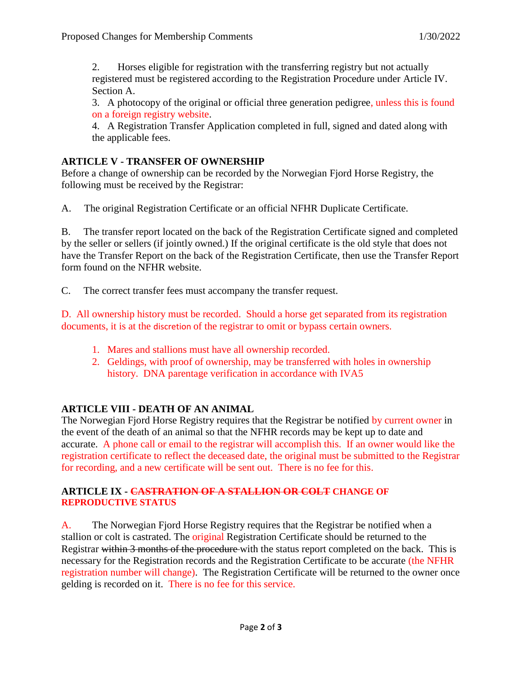2. Horses eligible for registration with the transferring registry but not actually registered must be registered according to the Registration Procedure under Article IV. Section A.

3. A photocopy of the original or official three generation pedigree, unless this is found on a foreign registry website.

4. A Registration Transfer Application completed in full, signed and dated along with the applicable fees.

### **ARTICLE V - TRANSFER OF OWNERSHIP**

Before a change of ownership can be recorded by the Norwegian Fjord Horse Registry, the following must be received by the Registrar:

A. The original Registration Certificate or an official NFHR Duplicate Certificate.

B. The transfer report located on the back of the Registration Certificate signed and completed by the seller or sellers (if jointly owned.) If the original certificate is the old style that does not have the Transfer Report on the back of the Registration Certificate, then use the Transfer Report form found on the NFHR website.

C. The correct transfer fees must accompany the transfer request.

D. All ownership history must be recorded. Should a horse get separated from its registration documents, it is at the discretion of the registrar to omit or bypass certain owners.

- 1. Mares and stallions must have all ownership recorded.
- 2. Geldings, with proof of ownership, may be transferred with holes in ownership history. DNA parentage verification in accordance with IVA5

# **ARTICLE VIII - DEATH OF AN ANIMAL**

The Norwegian Fjord Horse Registry requires that the Registrar be notified by current owner in the event of the death of an animal so that the NFHR records may be kept up to date and accurate. A phone call or email to the registrar will accomplish this. If an owner would like the registration certificate to reflect the deceased date, the original must be submitted to the Registrar for recording, and a new certificate will be sent out. There is no fee for this.

#### **ARTICLE IX - CASTRATION OF A STALLION OR COLT CHANGE OF REPRODUCTIVE STATUS**

A. The Norwegian Fjord Horse Registry requires that the Registrar be notified when a stallion or colt is castrated. The original Registration Certificate should be returned to the Registrar within 3 months of the procedure with the status report completed on the back. This is necessary for the Registration records and the Registration Certificate to be accurate (the NFHR registration number will change). The Registration Certificate will be returned to the owner once gelding is recorded on it. There is no fee for this service.